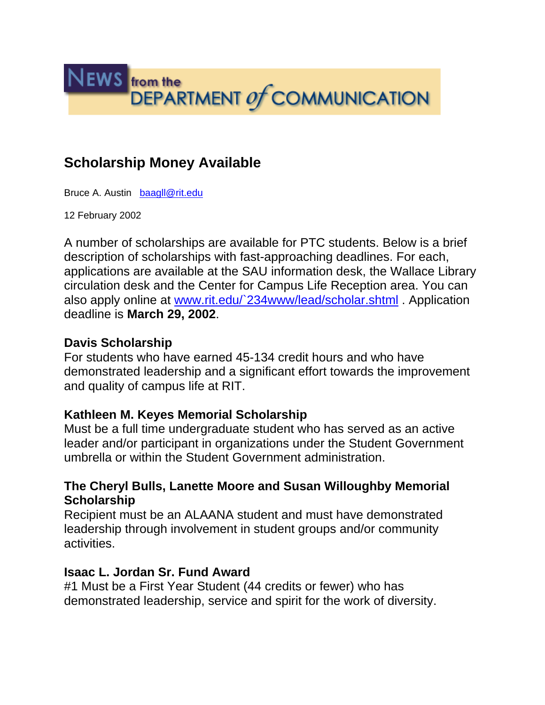

# **Scholarship Money Available**

Bruce A. Austin baagll@rit.edu

12 February 2002

A number of scholarships are available for PTC students. Below is a brief description of scholarships with fast-approaching deadlines. For each, applications are available at the SAU information desk, the Wallace Library circulation desk and the Center for Campus Life Reception area. You can also apply online at www.rit.edu/`234www/lead/scholar.shtml . Application deadline is **March 29, 2002**.

### **Davis Scholarship**

For students who have earned 45-134 credit hours and who have demonstrated leadership and a significant effort towards the improvement and quality of campus life at RIT.

## **Kathleen M. Keyes Memorial Scholarship**

Must be a full time undergraduate student who has served as an active leader and/or participant in organizations under the Student Government umbrella or within the Student Government administration.

## **The Cheryl Bulls, Lanette Moore and Susan Willoughby Memorial Scholarship**

Recipient must be an ALAANA student and must have demonstrated leadership through involvement in student groups and/or community activities.

## **Isaac L. Jordan Sr. Fund Award**

#1 Must be a First Year Student (44 credits or fewer) who has demonstrated leadership, service and spirit for the work of diversity.